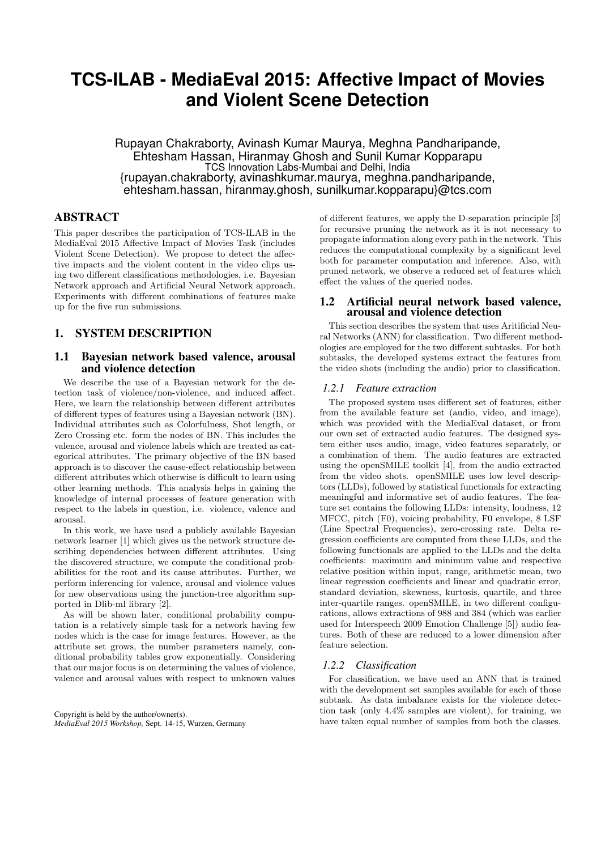# **TCS-ILAB - MediaEval 2015: Affective Impact of Movies and Violent Scene Detection**

Rupayan Chakraborty, Avinash Kumar Maurya, Meghna Pandharipande, Ehtesham Hassan, Hiranmay Ghosh and Sunil Kumar Kopparapu TCS Innovation Labs-Mumbai and Delhi, India {rupayan.chakraborty, avinashkumar.maurya, meghna.pandharipande, ehtesham.hassan, hiranmay.ghosh, sunilkumar.kopparapu}@tcs.com

## ABSTRACT

This paper describes the participation of TCS-ILAB in the MediaEval 2015 Affective Impact of Movies Task (includes Violent Scene Detection). We propose to detect the affective impacts and the violent content in the video clips using two different classifications methodologies, i.e. Bayesian Network approach and Artificial Neural Network approach. Experiments with different combinations of features make up for the five run submissions.

## 1. SYSTEM DESCRIPTION

## 1.1 Bayesian network based valence, arousal and violence detection

We describe the use of a Bayesian network for the detection task of violence/non-violence, and induced affect. Here, we learn the relationship between different attributes of different types of features using a Bayesian network (BN). Individual attributes such as Colorfulness, Shot length, or Zero Crossing etc. form the nodes of BN. This includes the valence, arousal and violence labels which are treated as categorical attributes. The primary objective of the BN based approach is to discover the cause-effect relationship between different attributes which otherwise is difficult to learn using other learning methods. This analysis helps in gaining the knowledge of internal processes of feature generation with respect to the labels in question, i.e. violence, valence and arousal.

In this work, we have used a publicly available Bayesian network learner [1] which gives us the network structure describing dependencies between different attributes. Using the discovered structure, we compute the conditional probabilities for the root and its cause attributes. Further, we perform inferencing for valence, arousal and violence values for new observations using the junction-tree algorithm supported in Dlib-ml library [2].

As will be shown later, conditional probability computation is a relatively simple task for a network having few nodes which is the case for image features. However, as the attribute set grows, the number parameters namely, conditional probability tables grow exponentially. Considering that our major focus is on determining the values of violence, valence and arousal values with respect to unknown values

Copyright is held by the author/owner(s). *MediaEval 2015 Workshop,* Sept. 14-15, Wurzen, Germany of different features, we apply the D-separation principle [3] for recursive pruning the network as it is not necessary to propagate information along every path in the network. This reduces the computational complexity by a significant level both for parameter computation and inference. Also, with pruned network, we observe a reduced set of features which effect the values of the queried nodes.

#### 1.2 Artificial neural network based valence, arousal and violence detection

This section describes the system that uses Aritificial Neural Networks (ANN) for classification. Two different methodologies are employed for the two different subtasks. For both subtasks, the developed systems extract the features from the video shots (including the audio) prior to classification.

#### *1.2.1 Feature extraction*

The proposed system uses different set of features, either from the available feature set (audio, video, and image), which was provided with the MediaEval dataset, or from our own set of extracted audio features. The designed system either uses audio, image, video features separately, or a combination of them. The audio features are extracted using the openSMILE toolkit [4], from the audio extracted from the video shots. openSMILE uses low level descriptors (LLDs), followed by statistical functionals for extracting meaningful and informative set of audio features. The feature set contains the following LLDs: intensity, loudness, 12 MFCC, pitch (F0), voicing probability, F0 envelope, 8 LSF (Line Spectral Frequencies), zero-crossing rate. Delta regression coefficients are computed from these LLDs, and the following functionals are applied to the LLDs and the delta coefficients: maximum and minimum value and respective relative position within input, range, arithmetic mean, two linear regression coefficients and linear and quadratic error, standard deviation, skewness, kurtosis, quartile, and three inter-quartile ranges. openSMILE, in two different configurations, allows extractions of 988 and 384 (which was earlier used for Interspeech 2009 Emotion Challenge [5]) audio features. Both of these are reduced to a lower dimension after feature selection.

### *1.2.2 Classification*

For classification, we have used an ANN that is trained with the development set samples available for each of those subtask. As data imbalance exists for the violence detection task (only 4.4% samples are violent), for training, we have taken equal number of samples from both the classes.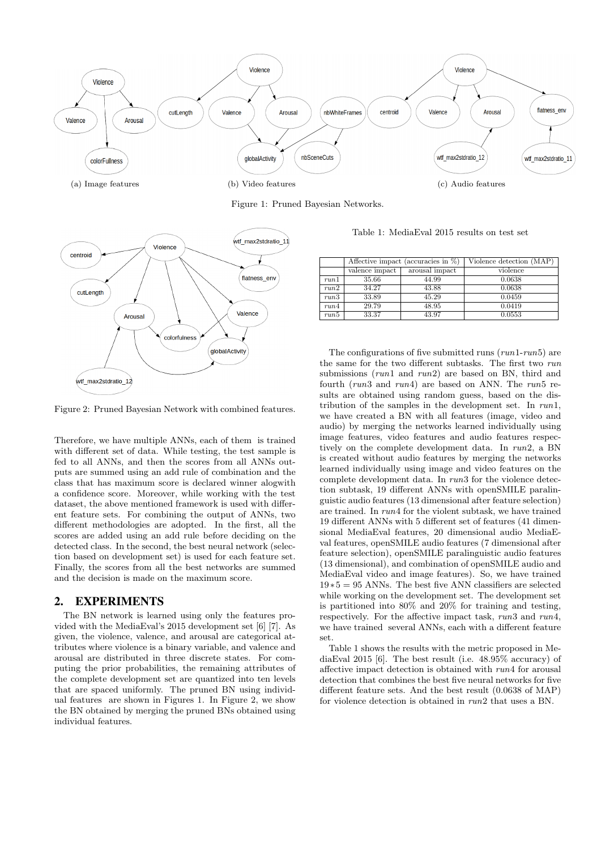

Figure 1: Pruned Bayesian Networks.



Table 1: MediaEval 2015 results on test set

|      | Affective impact (accuracies in $\%$ ) |                | Violence detection (MAP) |
|------|----------------------------------------|----------------|--------------------------|
|      | valence impact                         | arousal impact | violence                 |
| run1 | 35.66                                  | 44.99          | 0.0638                   |
| run2 | 34.27                                  | 43.88          | 0.0638                   |
| run3 | 33.89                                  | 45.29          | 0.0459                   |
| run4 | 29.79                                  | 48.95          | 0.0419                   |
| run5 | 33.37                                  | 43.97          | 0.0553                   |

The configurations of five submitted runs  $(run1-run5)$  are the same for the two different subtasks. The first two run submissions (run1 and run2) are based on BN, third and fourth (run3 and run4) are based on ANN. The run5 results are obtained using random guess, based on the distribution of the samples in the development set. In run1, we have created a BN with all features (image, video and audio) by merging the networks learned individually using image features, video features and audio features respectively on the complete development data. In run2, a BN is created without audio features by merging the networks learned individually using image and video features on the complete development data. In run3 for the violence detection subtask, 19 different ANNs with openSMILE paralinguistic audio features (13 dimensional after feature selection) are trained. In run4 for the violent subtask, we have trained 19 different ANNs with 5 different set of features (41 dimensional MediaEval features, 20 dimensional audio MediaEval features, openSMILE audio features (7 dimensional after feature selection), openSMILE paralinguistic audio features (13 dimensional), and combination of openSMILE audio and MediaEval video and image features). So, we have trained 19∗5 = 95 ANNs. The best five ANN classifiers are selected while working on the development set. The development set is partitioned into 80% and 20% for training and testing, respectively. For the affective impact task, run3 and run4, we have trained several ANNs, each with a different feature set.

Table 1 shows the results with the metric proposed in MediaEval 2015 [6]. The best result (i.e. 48.95% accuracy) of affective impact detection is obtained with run4 for arousal detection that combines the best five neural networks for five different feature sets. And the best result (0.0638 of MAP) for violence detection is obtained in run2 that uses a BN.

Figure 2: Pruned Bayesian Network with combined features.

Therefore, we have multiple ANNs, each of them is trained with different set of data. While testing, the test sample is fed to all ANNs, and then the scores from all ANNs outputs are summed using an add rule of combination and the class that has maximum score is declared winner alogwith a confidence score. Moreover, while working with the test dataset, the above mentioned framework is used with different feature sets. For combining the output of ANNs, two different methodologies are adopted. In the first, all the scores are added using an add rule before deciding on the detected class. In the second, the best neural network (selection based on development set) is used for each feature set. Finally, the scores from all the best networks are summed and the decision is made on the maximum score.

## 2. EXPERIMENTS

The BN network is learned using only the features provided with the MediaEval's 2015 development set [6] [7]. As given, the violence, valence, and arousal are categorical attributes where violence is a binary variable, and valence and arousal are distributed in three discrete states. For computing the prior probabilities, the remaining attributes of the complete development set are quantized into ten levels that are spaced uniformly. The pruned BN using individual features are shown in Figures 1. In Figure 2, we show the BN obtained by merging the pruned BNs obtained using individual features.